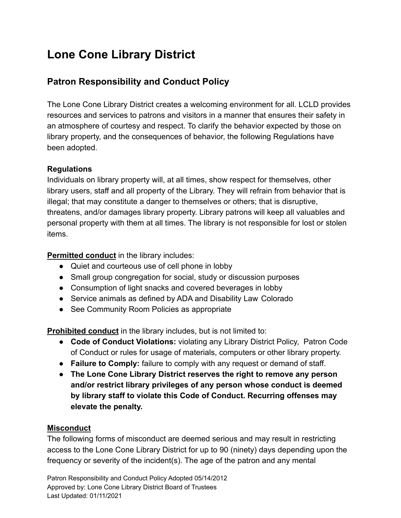# **Lone Cone Library District**

## **Patron Responsibility and Conduct Policy**

The Lone Cone Library District creates a welcoming environment for all. LCLD provides resources and services to patrons and visitors in a manner that ensures their safety in an atmosphere of courtesy and respect. To clarify the behavior expected by those on library property, and the consequences of behavior, the following Regulations have been adopted.

## **Regulations**

Individuals on library property will, at all times, show respect for themselves, other library users, staff and all property of the Library. They will refrain from behavior that is illegal; that may constitute a danger to themselves or others; that is disruptive, threatens, and/or damages library property. Library patrons will keep all valuables and personal property with them at all times. The library is not responsible for lost or stolen items.

**Permitted conduct** in the library includes:

- Quiet and courteous use of cell phone in lobby
- Small group congregation for social, study or discussion purposes
- Consumption of light snacks and covered beverages in lobby
- Service animals as defined by ADA and Disability Law Colorado
- See Community Room Policies as appropriate

**Prohibited conduct** in the library includes, but is not limited to:

- **Code of Conduct Violations:** violating any Library District Policy, Patron Code of Conduct or rules for usage of materials, computers or other library property.
- **Failure to Comply:** failure to comply with any request or demand of staff.
- **The Lone Cone Library District reserves the right to remove any person and/or restrict library privileges of any person whose conduct is deemed by library staff to violate this Code of Conduct. Recurring offenses may elevate the penalty.**

## **Misconduct**

The following forms of misconduct are deemed serious and may result in restricting access to the Lone Cone Library District for up to 90 (ninety) days depending upon the frequency or severity of the incident(s). The age of the patron and any mental

Patron Responsibility and Conduct Policy Adopted 05/14/2012 Approved by: Lone Cone Library District Board of Trustees Last Updated: 01/11/2021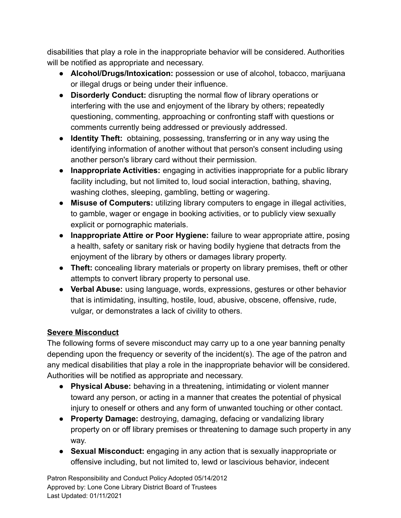disabilities that play a role in the inappropriate behavior will be considered. Authorities will be notified as appropriate and necessary.

- **Alcohol/Drugs/Intoxication:** possession or use of alcohol, tobacco, marijuana or illegal drugs or being under their influence.
- **Disorderly Conduct:** disrupting the normal flow of library operations or interfering with the use and enjoyment of the library by others; repeatedly questioning, commenting, approaching or confronting staff with questions or comments currently being addressed or previously addressed.
- **Identity Theft:** obtaining, possessing, transferring or in any way using the identifying information of another without that person's consent including using another person's library card without their permission.
- **Inappropriate Activities:** engaging in activities inappropriate for a public library facility including, but not limited to, loud social interaction, bathing, shaving, washing clothes, sleeping, gambling, betting or wagering.
- **Misuse of Computers:** utilizing library computers to engage in illegal activities, to gamble, wager or engage in booking activities, or to publicly view sexually explicit or pornographic materials.
- **Inappropriate Attire or Poor Hygiene:** failure to wear appropriate attire, posing a health, safety or sanitary risk or having bodily hygiene that detracts from the enjoyment of the library by others or damages library property.
- **Theft:** concealing library materials or property on library premises, theft or other attempts to convert library property to personal use.
- **Verbal Abuse:** using language, words, expressions, gestures or other behavior that is intimidating, insulting, hostile, loud, abusive, obscene, offensive, rude, vulgar, or demonstrates a lack of civility to others.

## **Severe Misconduct**

The following forms of severe misconduct may carry up to a one year banning penalty depending upon the frequency or severity of the incident(s). The age of the patron and any medical disabilities that play a role in the inappropriate behavior will be considered. Authorities will be notified as appropriate and necessary.

- **Physical Abuse:** behaving in a threatening, intimidating or violent manner toward any person, or acting in a manner that creates the potential of physical injury to oneself or others and any form of unwanted touching or other contact.
- **Property Damage:** destroying, damaging, defacing or vandalizing library property on or off library premises or threatening to damage such property in any way.
- **Sexual Misconduct:** engaging in any action that is sexually inappropriate or offensive including, but not limited to, lewd or lascivious behavior, indecent

Patron Responsibility and Conduct Policy Adopted 05/14/2012 Approved by: Lone Cone Library District Board of Trustees Last Updated: 01/11/2021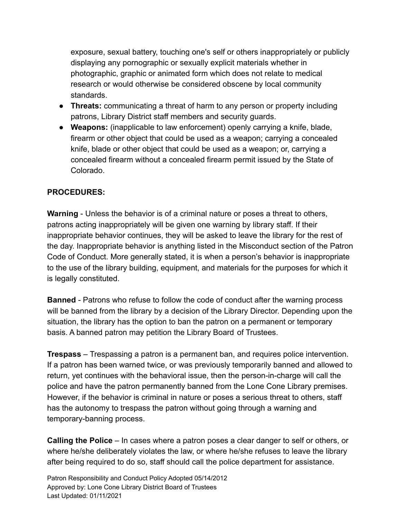exposure, sexual battery, touching one's self or others inappropriately or publicly displaying any pornographic or sexually explicit materials whether in photographic, graphic or animated form which does not relate to medical research or would otherwise be considered obscene by local community standards.

- **Threats:** communicating a threat of harm to any person or property including patrons, Library District staff members and security guards.
- **Weapons:** (inapplicable to law enforcement) openly carrying a knife, blade, firearm or other object that could be used as a weapon; carrying a concealed knife, blade or other object that could be used as a weapon; or, carrying a concealed firearm without a concealed firearm permit issued by the State of Colorado.

## **PROCEDURES:**

**Warning** - Unless the behavior is of a criminal nature or poses a threat to others, patrons acting inappropriately will be given one warning by library staff. If their inappropriate behavior continues, they will be asked to leave the library for the rest of the day. Inappropriate behavior is anything listed in the Misconduct section of the Patron Code of Conduct. More generally stated, it is when a person's behavior is inappropriate to the use of the library building, equipment, and materials for the purposes for which it is legally constituted.

**Banned** - Patrons who refuse to follow the code of conduct after the warning process will be banned from the library by a decision of the Library Director. Depending upon the situation, the library has the option to ban the patron on a permanent or temporary basis. A banned patron may petition the Library Board of Trustees.

**Trespass** – Trespassing a patron is a permanent ban, and requires police intervention. If a patron has been warned twice, or was previously temporarily banned and allowed to return, yet continues with the behavioral issue, then the person-in-charge will call the police and have the patron permanently banned from the Lone Cone Library premises. However, if the behavior is criminal in nature or poses a serious threat to others, staff has the autonomy to trespass the patron without going through a warning and temporary-banning process.

**Calling the Police** – In cases where a patron poses a clear danger to self or others, or where he/she deliberately violates the law, or where he/she refuses to leave the library after being required to do so, staff should call the police department for assistance.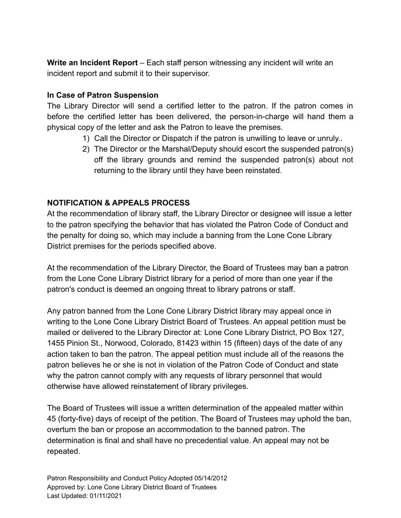**Write an Incident Report** – Each staff person witnessing any incident will write an incident report and submit it to their supervisor.

#### **In Case of Patron Suspension**

The Library Director will send a certified letter to the patron. If the patron comes in before the certified letter has been delivered, the person-in-charge will hand them a physical copy of the letter and ask the Patron to leave the premises.

- 1) Call the Director or Dispatch if the patron is unwilling to leave or unruly..
- 2) The Director or the Marshal/Deputy should escort the suspended patron(s) off the library grounds and remind the suspended patron(s) about not returning to the library until they have been reinstated.

## **NOTIFICATION & APPEALS PROCESS**

At the recommendation of library staff, the Library Director or designee will issue a letter to the patron specifying the behavior that has violated the Patron Code of Conduct and the penalty for doing so, which may include a banning from the Lone Cone Library District premises for the periods specified above.

At the recommendation of the Library Director, the Board of Trustees may ban a patron from the Lone Cone Library District library for a period of more than one year if the patron's conduct is deemed an ongoing threat to library patrons or staff.

Any patron banned from the Lone Cone Library District library may appeal once in writing to the Lone Cone Library District Board of Trustees. An appeal petition must be mailed or delivered to the Library Director at: Lone Cone Library District, PO Box 127, 1455 Pinion St., Norwood, Colorado, 81423 within 15 (fifteen) days of the date of any action taken to ban the patron. The appeal petition must include all of the reasons the patron believes he or she is not in violation of the Patron Code of Conduct and state why the patron cannot comply with any requests of library personnel that would otherwise have allowed reinstatement of library privileges.

The Board of Trustees will issue a written determination of the appealed matter within 45 (forty-five) days of receipt of the petition. The Board of Trustees may uphold the ban, overturn the ban or propose an accommodation to the banned patron. The determination is final and shall have no precedential value. An appeal may not be repeated.